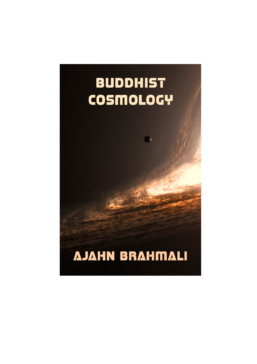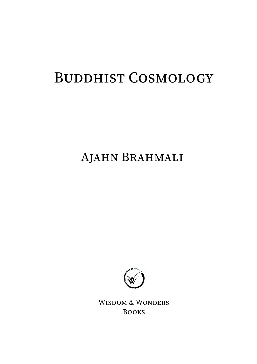### BUDDHIST COSMOLOGY

AJAHN BRAHMALI



WISDOM & WONDERS BOOKS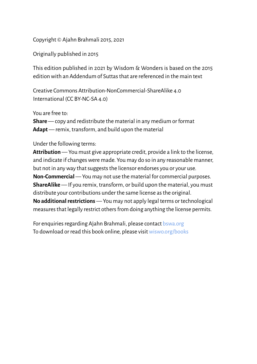Copyright © Ajahn Brahmali 2015, 2021

Originally published in 2015

This edition published in 2021 by Wisdom & Wonders is based on the 2015 edition with an Addendum of Suttas that are referenced in the main text

Creative Commons Attribution-NonCommercial-ShareAlike 4.0 International (CC BY-NC-SA 4.0)

You are free to:

**Share** — copy and redistribute the material in any medium or format **Adapt** — remix, transform, and build upon the material

#### Under the following terms:

**Attribution** — You must give appropriate credit, provide a link to the license, and indicate if changes were made. You may do so in any reasonable manner, but not in any way that suggests the licensor endorses you or your use. **Non-Commercial** — You may not use the material for commercial purposes. **ShareAlike** — If you remix, transform, or build upon the material, you must distribute your contributions under the same license as the original. **No additional restrictions** — You may not apply legal terms or technological measures that legally restrict others from doing anything the license permits.

For enquiries regarding Ajahn Brahmali, please contact [bswa.org](https://bswa.org/) To download or read this book online, please visit [wiswo.org/books](https://wiswo.org/books/)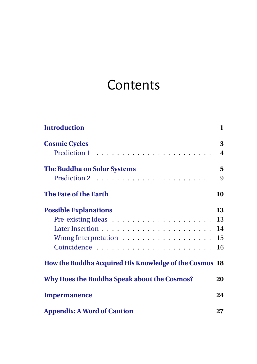### **Contents**

| <b>Introduction</b>                                            | $\mathbf{1}$   |
|----------------------------------------------------------------|----------------|
| <b>Cosmic Cycles</b>                                           | 3              |
|                                                                | $\overline{4}$ |
| <b>The Buddha on Solar Systems</b>                             | 5              |
|                                                                | 9              |
| The Fate of the Earth                                          | 10             |
| <b>Possible Explanations</b>                                   | 13             |
| Pre-existing Ideas $\dots \dots \dots \dots \dots \dots \dots$ | 13             |
|                                                                | 14             |
|                                                                | 15             |
|                                                                | 16             |
| How the Buddha Acquired His Knowledge of the Cosmos 18         |                |
| Why Does the Buddha Speak about the Cosmos?                    | 20             |
| <b>Impermanence</b>                                            | 24             |
| <b>Appendix: A Word of Caution</b>                             | 27             |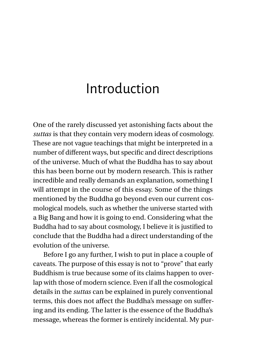### <span id="page-4-0"></span>Introduction

One of the rarely discussed yet astonishing facts about the *suttas* is that they contain very modern ideas of cosmology. These are not vague teachings that might be interpreted in a number of different ways, but specific and direct descriptions of the universe. Much of what the Buddha has to say about this has been borne out by modern research. This is rather incredible and really demands an explanation, something I will attempt in the course of this essay. Some of the things mentioned by the Buddha go beyond even our current cosmological models, such as whether the universe started with a Big Bang and how it is going to end. Considering what the Buddha had to say about cosmology, I believe it is justified to conclude that the Buddha had a direct understanding of the evolution of the universe.

Before I go any further, I wish to put in place a couple of caveats. The purpose of this essay is not to "prove" that early Buddhism is true because some of its claims happen to overlap with those of modern science. Even if all the cosmological details in the *suttas* can be explained in purely conventional terms, this does not affect the Buddha's message on suffering and its ending. The latter is the essence of the Buddha's message, whereas the former is entirely incidental. My pur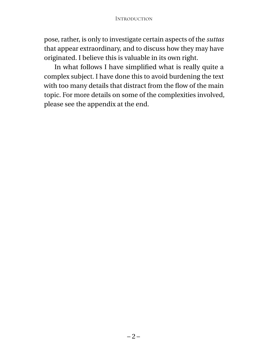pose, rather, is only to investigate certain aspects of the *suttas* that appear extraordinary, and to discuss how they may have originated. I believe this is valuable in its own right.

In what follows I have simplified what is really quite a complex subject. I have done this to avoid burdening the text with too many details that distract from the flow of the main topic. For more details on some of the complexities involved, please see the appendix at the end.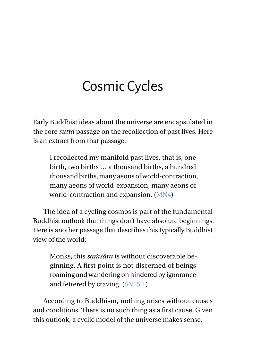## <span id="page-6-0"></span>Cosmic Cycles

Early Buddhist ideas about the universe are encapsulated in the core *sutta* passage on the recollection of past lives. Here is an extract from that passage:

I recollected my manifold past lives, that is, one birth, two births … a thousand births, a hundred thousand births, many aeons of world-contraction, many aeons of world-expansion, many aeons of world-contraction and expansion. [\(MN4\)](https://suttacentral.net/mn4)

The idea of a cycling cosmos is part of the fundamental Buddhist outlook that things don't have absolute beginnings. Here is another passage that describes this typically Buddhist view of the world:

Monks, this *saṁsāra* is without discoverable beginning. A first point is not discerned of beings roaming and wandering on hindered by ignorance and fettered by craving. [\(SN15.1\)](https://suttacentral.net/sn15.1)

According to Buddhism, nothing arises without causes and conditions. There is no such thing as a first cause. Given this outlook, a cyclic model of the universe makes sense.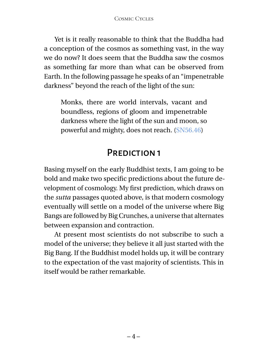Yet is it really reasonable to think that the Buddha had a conception of the cosmos as something vast, in the way we do now? It does seem that the Buddha saw the cosmos as something far more than what can be observed from Earth. In the following passage he speaks of an "impenetrable darkness" beyond the reach of the light of the sun:

Monks, there are world intervals, vacant and boundless, regions of gloom and impenetrable darkness where the light of the sun and moon, so powerful and mighty, does not reach. [\(SN56.46\)](https://suttacentral.net/sn56.46)

#### PREDICTION 1

<span id="page-7-0"></span>Basing myself on the early Buddhist texts, I am going to be bold and make two specific predictions about the future development of cosmology. My first prediction, which draws on the *sutta* passages quoted above, is that modern cosmology eventually will settle on a model of the universe where Big Bangs are followed by Big Crunches, a universe that alternates between expansion and contraction.

At present most scientists do not subscribe to such a model of the universe; they believe it all just started with the Big Bang. If the Buddhist model holds up, it will be contrary to the expectation of the vast majority of scientists. This in itself would be rather remarkable.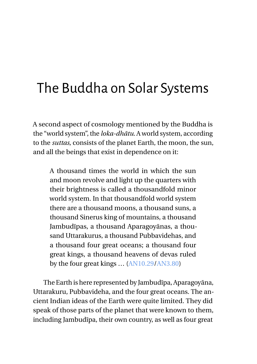# <span id="page-8-0"></span>The Buddha on Solar Systems

A second aspect of cosmology mentioned by the Buddha is the "world system", the *loka-dhātu*. A world system, according to the *suttas*, consists of the planet Earth, the moon, the sun, and all the beings that exist in dependence on it:

A thousand times the world in which the sun and moon revolve and light up the quarters with their brightness is called a thousandfold minor world system. In that thousandfold world system there are a thousand moons, a thousand suns, a thousand Sinerus king of mountains, a thousand Jambudīpas, a thousand Aparagoyānas, a thousand Uttarakurus, a thousand Pubbavidehas, and a thousand four great oceans; a thousand four great kings, a thousand heavens of devas ruled by the four great kings … [\(AN10.29](https://suttacentral.net/an10.29)[/AN3.80\)](https://suttacentral.net/an3.80)

The Earth is here represented by Jambudīpa, Aparagoyāna, Uttarakuru, Pubbavideha, and the four great oceans. The ancient Indian ideas of the Earth were quite limited. They did speak of those parts of the planet that were known to them, including Jambudīpa, their own country, as well as four great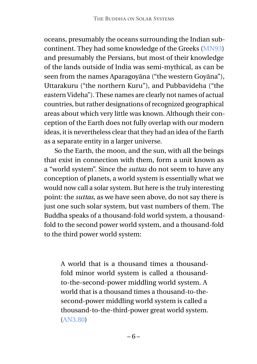oceans, presumably the oceans surrounding the Indian subcontinent. They had some knowledge of the Greeks [\(MN93\)](https://suttacentral.net/mn93) and presumably the Persians, but most of their knowledge of the lands outside of India was semi-mythical, as can be seen from the names Aparagoyāna ("the western Goyāna"), Uttarakuru ("the northern Kuru"), and Pubbavideha ("the eastern Videha"). These names are clearly not names of actual countries, but rather designations of recognized geographical areas about which very little was known. Although their conception of the Earth does not fully overlap with our modern ideas, it is nevertheless clear that they had an idea of the Earth as a separate entity in a larger universe.

So the Earth, the moon, and the sun, with all the beings that exist in connection with them, form a unit known as a "world system". Since the *suttas* do not seem to have any conception of planets, a world system is essentially what we would now call a solar system. But here is the truly interesting point: the *suttas*, as we have seen above, do not say there is just one such solar system, but vast numbers of them. The Buddha speaks of a thousand-fold world system, a thousandfold to the second power world system, and a thousand-fold to the third power world system:

A world that is a thousand times a thousandfold minor world system is called a thousandto-the-second-power middling world system. A world that is a thousand times a thousand-to-thesecond-power middling world system is called a thousand-to-the-third-power great world system. [\(AN3.80\)](https://suttacentral.net/an3.80)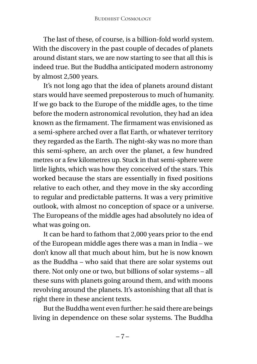The last of these, of course, is a billion-fold world system. With the discovery in the past couple of decades of planets around distant stars, we are now starting to see that all this is indeed true. But the Buddha anticipated modern astronomy by almost 2,500 years.

It's not long ago that the idea of planets around distant stars would have seemed preposterous to much of humanity. If we go back to the Europe of the middle ages, to the time before the modern astronomical revolution, they had an idea known as the firmament. The firmament was envisioned as a semi-sphere arched over a flat Earth, or whatever territory they regarded as the Earth. The night-sky was no more than this semi-sphere, an arch over the planet, a few hundred metres or a few kilometres up. Stuck in that semi-sphere were little lights, which was how they conceived of the stars. This worked because the stars are essentially in fixed positions relative to each other, and they move in the sky according to regular and predictable patterns. It was a very primitive outlook, with almost no conception of space or a universe. The Europeans of the middle ages had absolutely no idea of what was going on.

It can be hard to fathom that 2,000 years prior to the end of the European middle ages there was a man in India – we don't know all that much about him, but he is now known as the Buddha – who said that there are solar systems out there. Not only one or two, but billions of solar systems – all these suns with planets going around them, and with moons revolving around the planets. It's astonishing that all that is right there in these ancient texts.

But the Buddha went even further: he said there are beings living in dependence on these solar systems. The Buddha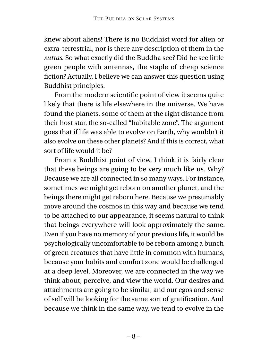knew about aliens! There is no Buddhist word for alien or extra-terrestrial, nor is there any description of them in the *suttas*. So what exactly did the Buddha see? Did he see little green people with antennas, the staple of cheap science fiction? Actually, I believe we can answer this question using Buddhist principles.

From the modern scientific point of view it seems quite likely that there is life elsewhere in the universe. We have found the planets, some of them at the right distance from their host star, the so-called "habitable zone". The argument goes that if life was able to evolve on Earth, why wouldn't it also evolve on these other planets? And if this is correct, what sort of life would it be?

From a Buddhist point of view, I think it is fairly clear that these beings are going to be very much like us. Why? Because we are all connected in so many ways. For instance, sometimes we might get reborn on another planet, and the beings there might get reborn here. Because we presumably move around the cosmos in this way and because we tend to be attached to our appearance, it seems natural to think that beings everywhere will look approximately the same. Even if you have no memory of your previous life, it would be psychologically uncomfortable to be reborn among a bunch of green creatures that have little in common with humans, because your habits and comfort zone would be challenged at a deep level. Moreover, we are connected in the way we think about, perceive, and view the world. Our desires and attachments are going to be similar, and our egos and sense of self will be looking for the same sort of gratification. And because we think in the same way, we tend to evolve in the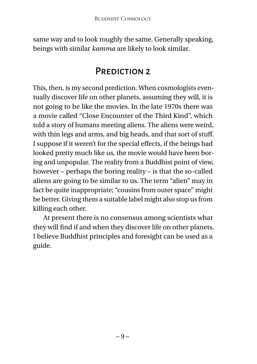same way and to look roughly the same. Generally speaking, beings with similar *kamma* are likely to look similar.

#### PREDICTION 2

<span id="page-12-0"></span>This, then, is my second prediction. When cosmologists eventually discover life on other planets, assuming they will, it is not going to be like the movies. In the late 1970s there was a movie called "Close Encounter of the Third Kind", which told a story of humans meeting aliens. The aliens were weird, with thin legs and arms, and big heads, and that sort of stuff. I suppose if it weren't for the special effects, if the beings had looked pretty much like us, the movie would have been boring and unpopular. The reality from a Buddhist point of view, however – perhaps the boring reality – is that the so-called aliens are going to be similar to us. The term "alien" may in fact be quite inappropriate; "cousins from outer space" might be better. Giving them a suitable label might also stop us from killing each other.

At present there is no consensus among scientists what they will find if and when they discover life on other planets. I believe Buddhist principles and foresight can be used as a guide.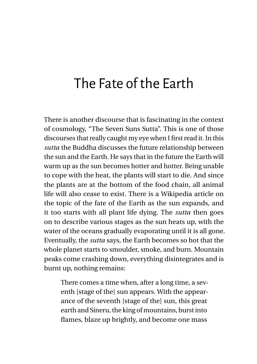### <span id="page-13-0"></span>The Fate of the Earth

There is another discourse that is fascinating in the context of cosmology, "The Seven Suns Sutta". This is one of those discourses that really caught my eye when I first read it. In this *sutta* the Buddha discusses the future relationship between the sun and the Earth. He says that in the future the Earth will warm up as the sun becomes hotter and hotter. Being unable to cope with the heat, the plants will start to die. And since the plants are at the bottom of the food chain, all animal life will also cease to exist. There is a Wikipedia article on the topic of the fate of the Earth as the sun expands, and it too starts with all plant life dying. The *sutta* then goes on to describe various stages as the sun heats up, with the water of the oceans gradually evaporating until it is all gone. Eventually, the *sutta* says, the Earth becomes so hot that the whole planet starts to smoulder, smoke, and burn. Mountain peaks come crashing down, everything disintegrates and is burnt up, nothing remains:

There comes a time when, after a long time, a seventh [stage of the] sun appears. With the appearance of the seventh [stage of the] sun, this great earth and Sineru, the king of mountains, burst into flames, blaze up brightly, and become one mass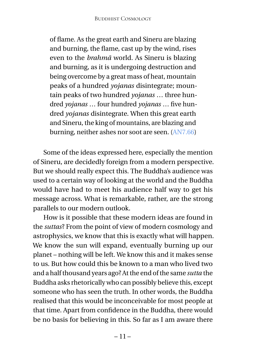of flame. As the great earth and Sineru are blazing and burning, the flame, cast up by the wind, rises even to the *brahmā* world. As Sineru is blazing and burning, as it is undergoing destruction and being overcome by a great mass of heat, mountain peaks of a hundred *yojanas* disintegrate; mountain peaks of two hundred *yojanas* … three hundred *yojanas* … four hundred *yojanas* … five hundred *yojanas* disintegrate. When this great earth and Sineru, the king of mountains, are blazing and burning, neither ashes nor soot are seen. [\(AN7.66\)](https://suttacentral.net/an7.66)

Some of the ideas expressed here, especially the mention of Sineru, are decidedly foreign from a modern perspective. But we should really expect this. The Buddha's audience was used to a certain way of looking at the world and the Buddha would have had to meet his audience half way to get his message across. What is remarkable, rather, are the strong parallels to our modern outlook.

How is it possible that these modern ideas are found in the *suttas*? From the point of view of modern cosmology and astrophysics, we know that this is exactly what will happen. We know the sun will expand, eventually burning up our planet – nothing will be left. We know this and it makes sense to us. But how could this be known to a man who lived two and a half thousand years ago? At the end of the same *sutta* the Buddha asks rhetorically who can possibly believe this, except someone who has seen the truth. In other words, the Buddha realised that this would be inconceivable for most people at that time. Apart from confidence in the Buddha, there would be no basis for believing in this. So far as I am aware there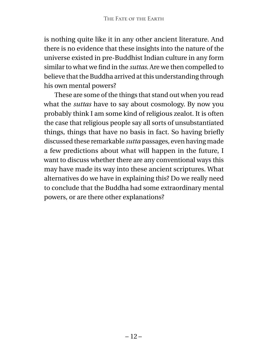is nothing quite like it in any other ancient literature. And there is no evidence that these insights into the nature of the universe existed in pre-Buddhist Indian culture in any form similar to what we find in the *suttas*. Are we then compelled to believe that the Buddha arrived at this understanding through his own mental powers?

These are some of the things that stand out when you read what the *suttas* have to say about cosmology. By now you probably think I am some kind of religious zealot. It is often the case that religious people say all sorts of unsubstantiated things, things that have no basis in fact. So having briefly discussed these remarkable *sutta* passages, even having made a few predictions about what will happen in the future, I want to discuss whether there are any conventional ways this may have made its way into these ancient scriptures. What alternatives do we have in explaining this? Do we really need to conclude that the Buddha had some extraordinary mental powers, or are there other explanations?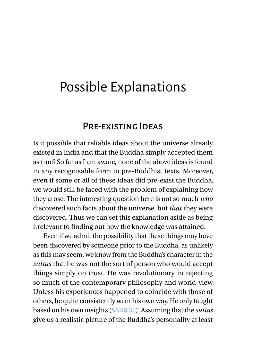### <span id="page-16-0"></span>Possible Explanations

#### Pre-existing Ideas

<span id="page-16-1"></span>Is it possible that reliable ideas about the universe already existed in India and that the Buddha simply accepted them as true? So far as I am aware, none of the above ideas is found in any recognisable form in pre-Buddhist texts. Moreover, even if some or all of these ideas did pre-exist the Buddha, we would still be faced with the problem of explaining how they arose. The interesting question here is not so much *who* discovered such facts about the universe, but *that* they were discovered. Thus we can set this explanation aside as being irrelevant to finding out how the knowledge was attained.

Even if we admit the possibility that these things may have been discovered by someone prior to the Buddha, as unlikely as this may seem, we know from the Buddha's character in the *suttas* that he was not the sort of person who would accept things simply on trust. He was revolutionary in rejecting so much of the contemporary philosophy and world-view. Unless his experiences happened to coincide with those of others, he quite consistently went his own way. He only taught based on his own insights [\(SN56.31\)](https://suttacentral.net/sn56.31). Assuming that the *suttas* give us a realistic picture of the Buddha's personality at least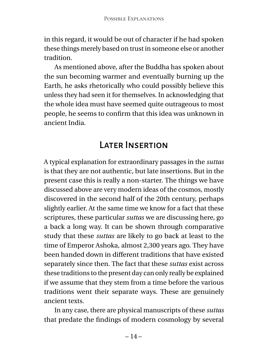in this regard, it would be out of character if he had spoken these things merely based on trust in someone else or another tradition.

As mentioned above, after the Buddha has spoken about the sun becoming warmer and eventually burning up the Earth, he asks rhetorically who could possibly believe this unless they had seen it for themselves. In acknowledging that the whole idea must have seemed quite outrageous to most people, he seems to confirm that this idea was unknown in ancient India.

#### Later Insertion

<span id="page-17-0"></span>A typical explanation for extraordinary passages in the *suttas* is that they are not authentic, but late insertions. But in the present case this is really a non-starter. The things we have discussed above are very modern ideas of the cosmos, mostly discovered in the second half of the 20th century, perhaps slightly earlier. At the same time we know for a fact that these scriptures, these particular *suttas* we are discussing here, go a back a long way. It can be shown through comparative study that these *suttas* are likely to go back at least to the time of Emperor Ashoka, almost 2,300 years ago. They have been handed down in different traditions that have existed separately since then. The fact that these *suttas* exist across these traditions to the present day can only really be explained if we assume that they stem from a time before the various traditions went their separate ways. These are genuinely ancient texts.

In any case, there are physical manuscripts of these *suttas* that predate the findings of modern cosmology by several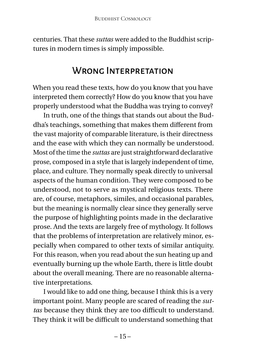centuries. That these *suttas* were added to the Buddhist scriptures in modern times is simply impossible.

#### WRONG INTERPRETATION

<span id="page-18-0"></span>When you read these texts, how do you know that you have interpreted them correctly? How do you know that you have properly understood what the Buddha was trying to convey?

In truth, one of the things that stands out about the Buddha's teachings, something that makes them different from the vast majority of comparable literature, is their directness and the ease with which they can normally be understood. Most of the time the *suttas* are just straightforward declarative prose, composed in a style that is largely independent of time, place, and culture. They normally speak directly to universal aspects of the human condition. They were composed to be understood, not to serve as mystical religious texts. There are, of course, metaphors, similes, and occasional parables, but the meaning is normally clear since they generally serve the purpose of highlighting points made in the declarative prose. And the texts are largely free of mythology. It follows that the problems of interpretation are relatively minor, especially when compared to other texts of similar antiquity. For this reason, when you read about the sun heating up and eventually burning up the whole Earth, there is little doubt about the overall meaning. There are no reasonable alternative interpretations.

I would like to add one thing, because I think this is a very important point. Many people are scared of reading the *suttas* because they think they are too difficult to understand. They think it will be difficult to understand something that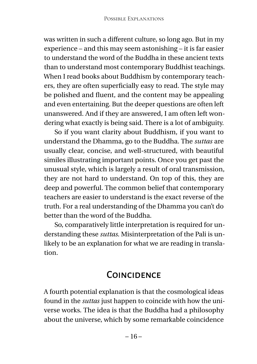was written in such a different culture, so long ago. But in my experience – and this may seem astonishing – it is far easier to understand the word of the Buddha in these ancient texts than to understand most contemporary Buddhist teachings. When I read books about Buddhism by contemporary teachers, they are often superficially easy to read. The style may be polished and fluent, and the content may be appealing and even entertaining. But the deeper questions are often left unanswered. And if they are answered, I am often left wondering what exactly is being said. There is a lot of ambiguity.

So if you want clarity about Buddhism, if you want to understand the Dhamma, go to the Buddha. The *suttas* are usually clear, concise, and well-structured, with beautiful similes illustrating important points. Once you get past the unusual style, which is largely a result of oral transmission, they are not hard to understand. On top of this, they are deep and powerful. The common belief that contemporary teachers are easier to understand is the exact reverse of the truth. For a real understanding of the Dhamma you can't do better than the word of the Buddha.

So, comparatively little interpretation is required for understanding these *suttas*. Misinterpretation of the Pali is unlikely to be an explanation for what we are reading in translation.

#### **COINCIDENCE**

<span id="page-19-0"></span>A fourth potential explanation is that the cosmological ideas found in the *suttas* just happen to coincide with how the universe works. The idea is that the Buddha had a philosophy about the universe, which by some remarkable coincidence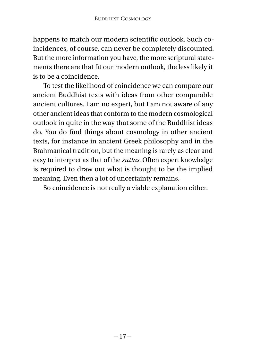happens to match our modern scientific outlook. Such coincidences, of course, can never be completely discounted. But the more information you have, the more scriptural statements there are that fit our modern outlook, the less likely it is to be a coincidence.

To test the likelihood of coincidence we can compare our ancient Buddhist texts with ideas from other comparable ancient cultures. I am no expert, but I am not aware of any other ancient ideas that conform to the modern cosmological outlook in quite in the way that some of the Buddhist ideas do. You do find things about cosmology in other ancient texts, for instance in ancient Greek philosophy and in the Brahmanical tradition, but the meaning is rarely as clear and easy to interpret as that of the *suttas*. Often expert knowledge is required to draw out what is thought to be the implied meaning. Even then a lot of uncertainty remains.

So coincidence is not really a viable explanation either.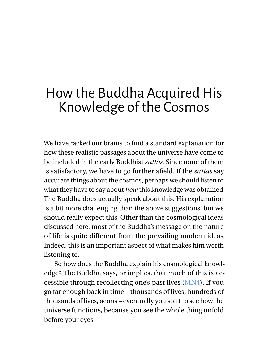### <span id="page-21-0"></span>How the Buddha Acquired His Knowledge of the Cosmos

We have racked our brains to find a standard explanation for how these realistic passages about the universe have come to be included in the early Buddhist *suttas*. Since none of them is satisfactory, we have to go further afield. If the *suttas* say accurate things about the cosmos, perhaps we should listen to what they have to say about *how* this knowledge was obtained. The Buddha does actually speak about this. His explanation is a bit more challenging than the above suggestions, but we should really expect this. Other than the cosmological ideas discussed here, most of the Buddha's message on the nature of life is quite different from the prevailing modern ideas. Indeed, this is an important aspect of what makes him worth listening to.

So how does the Buddha explain his cosmological knowledge? The Buddha says, or implies, that much of this is accessible through recollecting one's past lives [\(MN4\)](https://suttacentral.net/mn4). If you go far enough back in time – thousands of lives, hundreds of thousands of lives, aeons – eventually you start to see how the universe functions, because you see the whole thing unfold before your eyes.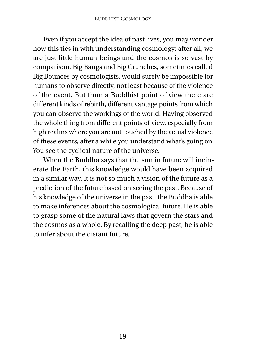Even if you accept the idea of past lives, you may wonder how this ties in with understanding cosmology: after all, we are just little human beings and the cosmos is so vast by comparison. Big Bangs and Big Crunches, sometimes called Big Bounces by cosmologists, would surely be impossible for humans to observe directly, not least because of the violence of the event. But from a Buddhist point of view there are different kinds of rebirth, different vantage points from which you can observe the workings of the world. Having observed the whole thing from different points of view, especially from high realms where you are not touched by the actual violence of these events, after a while you understand what's going on. You see the cyclical nature of the universe.

When the Buddha says that the sun in future will incinerate the Earth, this knowledge would have been acquired in a similar way. It is not so much a vision of the future as a prediction of the future based on seeing the past. Because of his knowledge of the universe in the past, the Buddha is able to make inferences about the cosmological future. He is able to grasp some of the natural laws that govern the stars and the cosmos as a whole. By recalling the deep past, he is able to infer about the distant future.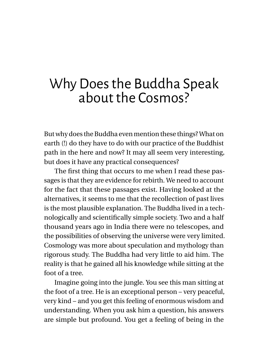### <span id="page-23-0"></span>Why Does the Buddha Speak about the Cosmos?

But why does the Buddha even mention these things? What on earth (!) do they have to do with our practice of the Buddhist path in the here and now? It may all seem very interesting, but does it have any practical consequences?

The first thing that occurs to me when I read these passages is that they are evidence for rebirth. We need to account for the fact that these passages exist. Having looked at the alternatives, it seems to me that the recollection of past lives is the most plausible explanation. The Buddha lived in a technologically and scientifically simple society. Two and a half thousand years ago in India there were no telescopes, and the possibilities of observing the universe were very limited. Cosmology was more about speculation and mythology than rigorous study. The Buddha had very little to aid him. The reality is that he gained all his knowledge while sitting at the foot of a tree.

Imagine going into the jungle. You see this man sitting at the foot of a tree. He is an exceptional person – very peaceful, very kind – and you get this feeling of enormous wisdom and understanding. When you ask him a question, his answers are simple but profound. You get a feeling of being in the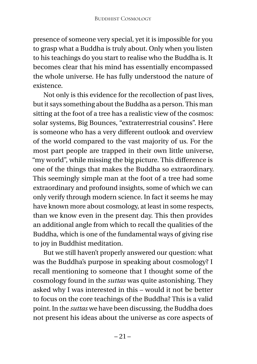presence of someone very special, yet it is impossible for you to grasp what a Buddha is truly about. Only when you listen to his teachings do you start to realise who the Buddha is. It becomes clear that his mind has essentially encompassed the whole universe. He has fully understood the nature of existence.

Not only is this evidence for the recollection of past lives, but it says something about the Buddha as a person. This man sitting at the foot of a tree has a realistic view of the cosmos: solar systems, Big Bounces, "extraterrestrial cousins". Here is someone who has a very different outlook and overview of the world compared to the vast majority of us. For the most part people are trapped in their own little universe, "my world", while missing the big picture. This difference is one of the things that makes the Buddha so extraordinary. This seemingly simple man at the foot of a tree had some extraordinary and profound insights, some of which we can only verify through modern science. In fact it seems he may have known more about cosmology, at least in some respects, than we know even in the present day. This then provides an additional angle from which to recall the qualities of the Buddha, which is one of the fundamental ways of giving rise to joy in Buddhist meditation.

But we still haven't properly answered our question: what was the Buddha's purpose in speaking about cosmology? I recall mentioning to someone that I thought some of the cosmology found in the *suttas* was quite astonishing. They asked why I was interested in this – would it not be better to focus on the core teachings of the Buddha? This is a valid point. In the *suttas* we have been discussing, the Buddha does not present his ideas about the universe as core aspects of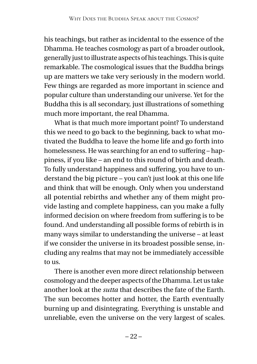his teachings, but rather as incidental to the essence of the Dhamma. He teaches cosmology as part of a broader outlook, generally just to illustrate aspects of his teachings. This is quite remarkable. The cosmological issues that the Buddha brings up are matters we take very seriously in the modern world. Few things are regarded as more important in science and popular culture than understanding our universe. Yet for the Buddha this is all secondary, just illustrations of something much more important, the real Dhamma.

What is that much more important point? To understand this we need to go back to the beginning, back to what motivated the Buddha to leave the home life and go forth into homelessness. He was searching for an end to suffering – happiness, if you like – an end to this round of birth and death. To fully understand happiness and suffering, you have to understand the big picture – you can't just look at this one life and think that will be enough. Only when you understand all potential rebirths and whether any of them might provide lasting and complete happiness, can you make a fully informed decision on where freedom from suffering is to be found. And understanding all possible forms of rebirth is in many ways similar to understanding the universe – at least if we consider the universe in its broadest possible sense, including any realms that may not be immediately accessible to us.

There is another even more direct relationship between cosmology and the deeper aspects of the Dhamma. Let us take another look at the *sutta* that describes the fate of the Earth. The sun becomes hotter and hotter, the Earth eventually burning up and disintegrating. Everything is unstable and unreliable, even the universe on the very largest of scales.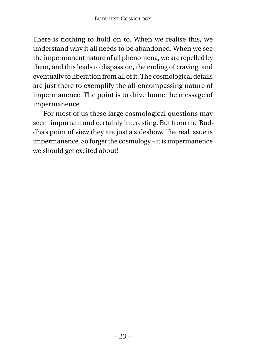There is nothing to hold on to. When we realise this, we understand why it all needs to be abandoned. When we see the impermanent nature of all phenomena, we are repelled by them, and this leads to dispassion, the ending of craving, and eventually to liberation from all of it. The cosmological details are just there to exemplify the all-encompassing nature of impermanence. The point is to drive home the message of impermanence.

For most of us these large cosmological questions may seem important and certainly interesting. But from the Buddha's point of view they are just a sideshow. The real issue is impermanence. So forget the cosmology – it is impermanence we should get excited about!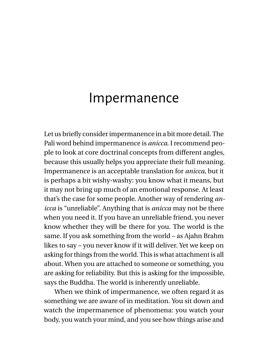#### <span id="page-27-0"></span>Impermanence

Let us briefly consider impermanence in a bit more detail. The Pali word behind impermanence is *anicca*. I recommend people to look at core doctrinal concepts from different angles, because this usually helps you appreciate their full meaning. Impermanence is an acceptable translation for *anicca*, but it is perhaps a bit wishy-washy: you know what it means, but it may not bring up much of an emotional response. At least that's the case for some people. Another way of rendering *anicca* is "unreliable". Anything that is *anicca* may not be there when you need it. If you have an unreliable friend, you never know whether they will be there for you. The world is the same. If you ask something from the world – as Ajahn Brahm likes to say – you never know if it will deliver. Yet we keep on asking for things from the world. This is what attachment is all about. When you are attached to someone or something, you are asking for reliability. But this is asking for the impossible, says the Buddha. The world is inherently unreliable.

When we think of impermanence, we often regard it as something we are aware of in meditation. You sit down and watch the impermanence of phenomena: you watch your body, you watch your mind, and you see how things arise and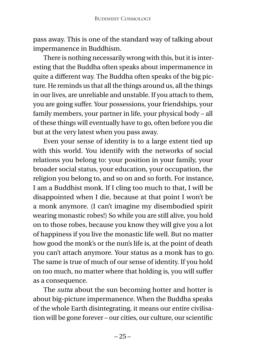pass away. This is one of the standard way of talking about impermanence in Buddhism.

There is nothing necessarily wrong with this, but it is interesting that the Buddha often speaks about impermanence in quite a different way. The Buddha often speaks of the big picture. He reminds us that all the things around us, all the things in our lives, are unreliable and unstable. If you attach to them, you are going suffer. Your possessions, your friendships, your family members, your partner in life, your physical body – all of these things will eventually have to go, often before you die but at the very latest when you pass away.

Even your sense of identity is to a large extent tied up with this world. You identify with the networks of social relations you belong to: your position in your family, your broader social status, your education, your occupation, the religion you belong to, and so on and so forth. For instance, I am a Buddhist monk. If I cling too much to that, I will be disappointed when I die, because at that point I won't be a monk anymore. (I can't imagine my disembodied spirit wearing monastic robes!) So while you are still alive, you hold on to those robes, because you know they will give you a lot of happiness if you live the monastic life well. But no matter how good the monk's or the nun's life is, at the point of death you can't attach anymore. Your status as a monk has to go. The same is true of much of our sense of identity. If you hold on too much, no matter where that holding is, you will suffer as a consequence.

The *sutta* about the sun becoming hotter and hotter is about big-picture impermanence. When the Buddha speaks of the whole Earth disintegrating, it means our entire civilisation will be gone forever – our cities, our culture, our scientific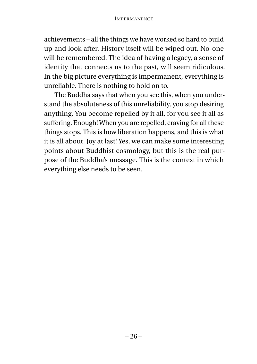achievements – all the things we have worked so hard to build up and look after. History itself will be wiped out. No-one will be remembered. The idea of having a legacy, a sense of identity that connects us to the past, will seem ridiculous. In the big picture everything is impermanent, everything is unreliable. There is nothing to hold on to.

The Buddha says that when you see this, when you understand the absoluteness of this unreliability, you stop desiring anything. You become repelled by it all, for you see it all as suffering. Enough! When you are repelled, craving for all these things stops. This is how liberation happens, and this is what it is all about. Joy at last! Yes, we can make some interesting points about Buddhist cosmology, but this is the real purpose of the Buddha's message. This is the context in which everything else needs to be seen.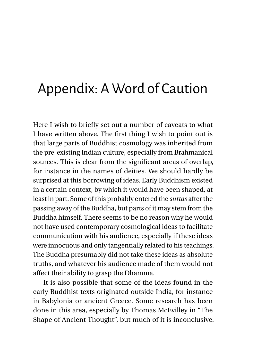## <span id="page-30-0"></span>Appendix: A Word of Caution

Here I wish to briefly set out a number of caveats to what I have written above. The first thing I wish to point out is that large parts of Buddhist cosmology was inherited from the pre-existing Indian culture, especially from Brahmanical sources. This is clear from the significant areas of overlap, for instance in the names of deities. We should hardly be surprised at this borrowing of ideas. Early Buddhism existed in a certain context, by which it would have been shaped, at least in part. Some of this probably entered the *suttas* after the passing away of the Buddha, but parts of it may stem from the Buddha himself. There seems to be no reason why he would not have used contemporary cosmological ideas to facilitate communication with his audience, especially if these ideas were innocuous and only tangentially related to his teachings. The Buddha presumably did not take these ideas as absolute truths, and whatever his audience made of them would not affect their ability to grasp the Dhamma.

It is also possible that some of the ideas found in the early Buddhist texts originated outside India, for instance in Babylonia or ancient Greece. Some research has been done in this area, especially by Thomas McEvilley in "The Shape of Ancient Thought", but much of it is inconclusive.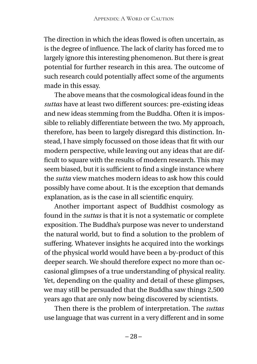The direction in which the ideas flowed is often uncertain, as is the degree of influence. The lack of clarity has forced me to largely ignore this interesting phenomenon. But there is great potential for further research in this area. The outcome of such research could potentially affect some of the arguments made in this essay.

The above means that the cosmological ideas found in the *suttas* have at least two different sources: pre-existing ideas and new ideas stemming from the Buddha. Often it is impossible to reliably differentiate between the two. My approach, therefore, has been to largely disregard this distinction. Instead, I have simply focussed on those ideas that fit with our modern perspective, while leaving out any ideas that are difficult to square with the results of modern research. This may seem biased, but it is sufficient to find a single instance where the *sutta* view matches modern ideas to ask how this could possibly have come about. It is the exception that demands explanation, as is the case in all scientific enquiry.

Another important aspect of Buddhist cosmology as found in the *suttas* is that it is not a systematic or complete exposition. The Buddha's purpose was never to understand the natural world, but to find a solution to the problem of suffering. Whatever insights he acquired into the workings of the physical world would have been a by-product of this deeper search. We should therefore expect no more than occasional glimpses of a true understanding of physical reality. Yet, depending on the quality and detail of these glimpses, we may still be persuaded that the Buddha saw things 2,500 years ago that are only now being discovered by scientists.

Then there is the problem of interpretation. The *suttas* use language that was current in a very different and in some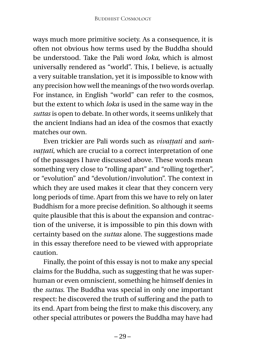ways much more primitive society. As a consequence, it is often not obvious how terms used by the Buddha should be understood. Take the Pali word *loka*, which is almost universally rendered as "world". This, I believe, is actually a very suitable translation, yet it is impossible to know with any precision how well the meanings of the two words overlap. For instance, in English "world" can refer to the cosmos, but the extent to which *loka* is used in the same way in the *suttas* is open to debate. In other words, it seems unlikely that the ancient Indians had an idea of the cosmos that exactly matches our own.

Even trickier are Pali words such as *vivattati* and *samvaṭṭati*, which are crucial to a correct interpretation of one of the passages I have discussed above. These words mean something very close to "rolling apart" and "rolling together", or "evolution" and "devolution/involution". The context in which they are used makes it clear that they concern very long periods of time. Apart from this we have to rely on later Buddhism for a more precise definition. So although it seems quite plausible that this is about the expansion and contraction of the universe, it is impossible to pin this down with certainty based on the *suttas* alone. The suggestions made in this essay therefore need to be viewed with appropriate caution.

Finally, the point of this essay is not to make any special claims for the Buddha, such as suggesting that he was superhuman or even omniscient, something he himself denies in the *suttas*. The Buddha was special in only one important respect: he discovered the truth of suffering and the path to its end. Apart from being the first to make this discovery, any other special attributes or powers the Buddha may have had